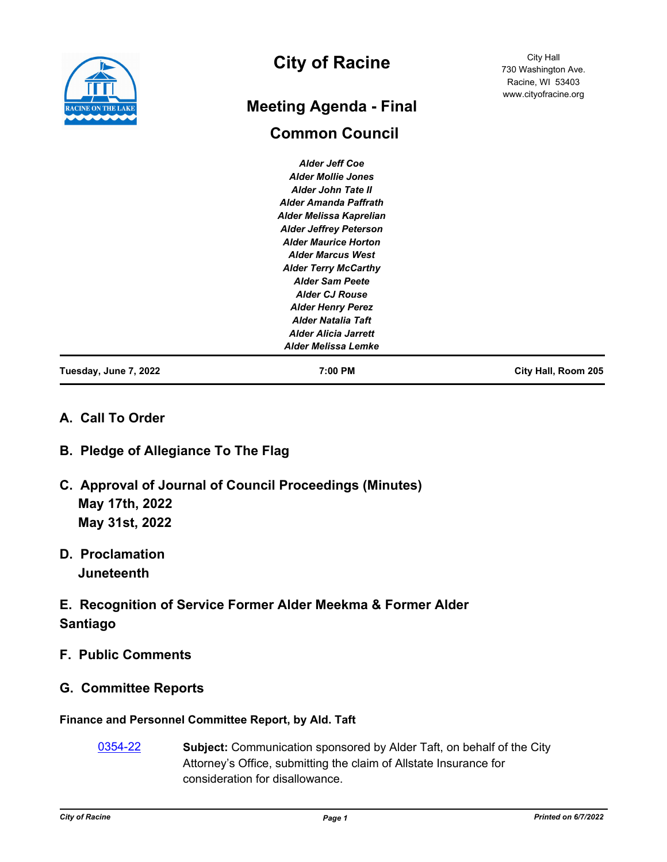

# **City of Racine**

# **Common Council Meeting Agenda - Final**

City Hall 730 Washington Ave. Racine, WI 53403 www.cityofracine.org

| Tuesday, June 7, 2022 | 7:00 PM                       | City Hall, Room 205 |
|-----------------------|-------------------------------|---------------------|
|                       | <b>Alder Melissa Lemke</b>    |                     |
|                       | <b>Alder Alicia Jarrett</b>   |                     |
|                       | <b>Alder Natalia Taft</b>     |                     |
|                       | <b>Alder Henry Perez</b>      |                     |
|                       | <b>Alder CJ Rouse</b>         |                     |
|                       | <b>Alder Sam Peete</b>        |                     |
|                       | <b>Alder Terry McCarthy</b>   |                     |
|                       | <b>Alder Marcus West</b>      |                     |
|                       | <b>Alder Maurice Horton</b>   |                     |
|                       | <b>Alder Jeffrey Peterson</b> |                     |
|                       | Alder Melissa Kaprelian       |                     |
|                       | <b>Alder Amanda Paffrath</b>  |                     |
|                       | Alder John Tate II            |                     |
|                       | <b>Alder Mollie Jones</b>     |                     |
|                       | <b>Alder Jeff Coe</b>         |                     |

# **A. Call To Order**

# **B. Pledge of Allegiance To The Flag**

- **C. Approval of Journal of Council Proceedings (Minutes) May 17th, 2022 May 31st, 2022**
- **D. Proclamation Juneteenth**
- **E. Recognition of Service Former Alder Meekma & Former Alder Santiago**
- **F. Public Comments**
- **G. Committee Reports**

# **Finance and Personnel Committee Report, by Ald. Taft**

[0354-22](http://cityofracine.legistar.com/gateway.aspx?m=l&id=/matter.aspx?key=33531) **Subject:** Communication sponsored by Alder Taft, on behalf of the City Attorney's Office, submitting the claim of Allstate Insurance for consideration for disallowance.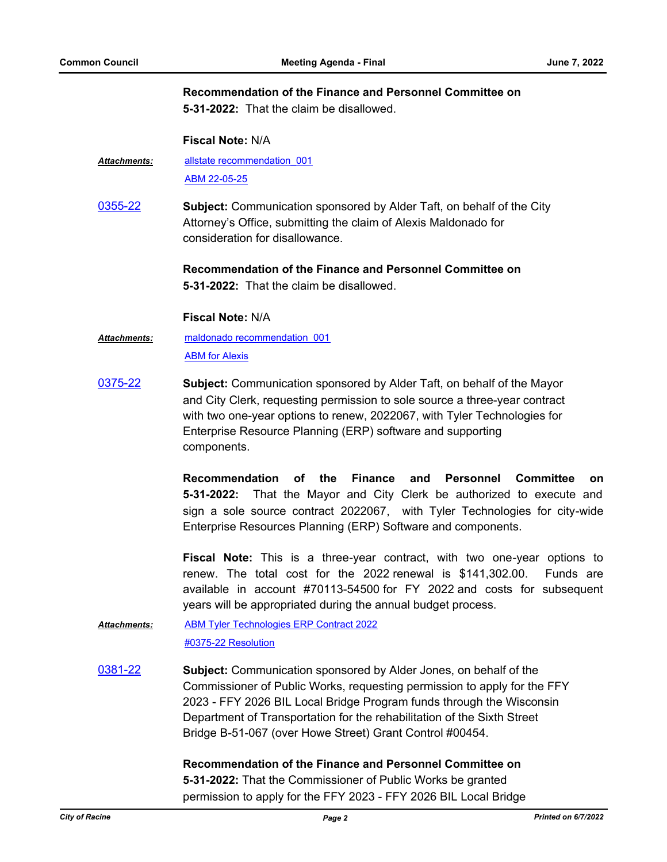## **Recommendation of the Finance and Personnel Committee on**

**5-31-2022:** That the claim be disallowed.

#### **Fiscal Note:** N/A

- [allstate recommendation\\_001](http://cityofracine.legistar.com/gateway.aspx?M=F&ID=54018f19-e331-4408-94a5-88838841da64.pdf) [ABM 22-05-25](http://cityofracine.legistar.com/gateway.aspx?M=F&ID=709b17a1-8876-4b92-8b77-ca233ad47e40.PDF) *Attachments:*
- [0355-22](http://cityofracine.legistar.com/gateway.aspx?m=l&id=/matter.aspx?key=33532) **Subject:** Communication sponsored by Alder Taft, on behalf of the City Attorney's Office, submitting the claim of Alexis Maldonado for consideration for disallowance.

# **Recommendation of the Finance and Personnel Committee on 5-31-2022:** That the claim be disallowed.

#### **Fiscal Note:** N/A

- [maldonado recommendation\\_001](http://cityofracine.legistar.com/gateway.aspx?M=F&ID=976fc010-4186-4e9e-b25a-3b806162298a.pdf) [ABM for Alexis](http://cityofracine.legistar.com/gateway.aspx?M=F&ID=a5ef5958-77db-4fcf-a821-72f5d403d3a5.PDF) *Attachments:*
- [0375-22](http://cityofracine.legistar.com/gateway.aspx?m=l&id=/matter.aspx?key=33556) **Subject:** Communication sponsored by Alder Taft, on behalf of the Mayor and City Clerk, requesting permission to sole source a three-year contract with two one-year options to renew, 2022067, with Tyler Technologies for Enterprise Resource Planning (ERP) software and supporting components.

**Recommendation of the Finance and Personnel Committee on 5-31-2022:** That the Mayor and City Clerk be authorized to execute and sign a sole source contract 2022067, with Tyler Technologies for city-wide Enterprise Resources Planning (ERP) Software and components.

**Fiscal Note:** This is a three-year contract, with two one-year options to renew. The total cost for the 2022 renewal is \$141,302.00. Funds are available in account #70113-54500 for FY 2022 and costs for subsequent years will be appropriated during the annual budget process.

#### [ABM Tyler Technologies ERP Contract 2022](http://cityofracine.legistar.com/gateway.aspx?M=F&ID=d05f0f90-0d99-4dfc-8c75-2d1f767a6458.docx) [#0375-22 Resolution](http://cityofracine.legistar.com/gateway.aspx?M=F&ID=f408115b-7640-494f-9697-ea2e959602dc.docx) *Attachments:*

[0381-22](http://cityofracine.legistar.com/gateway.aspx?m=l&id=/matter.aspx?key=33565) **Subject:** Communication sponsored by Alder Jones, on behalf of the Commissioner of Public Works, requesting permission to apply for the FFY 2023 - FFY 2026 BIL Local Bridge Program funds through the Wisconsin Department of Transportation for the rehabilitation of the Sixth Street Bridge B-51-067 (over Howe Street) Grant Control #00454.

#### **Recommendation of the Finance and Personnel Committee on**

**5-31-2022:** That the Commissioner of Public Works be granted permission to apply for the FFY 2023 - FFY 2026 BIL Local Bridge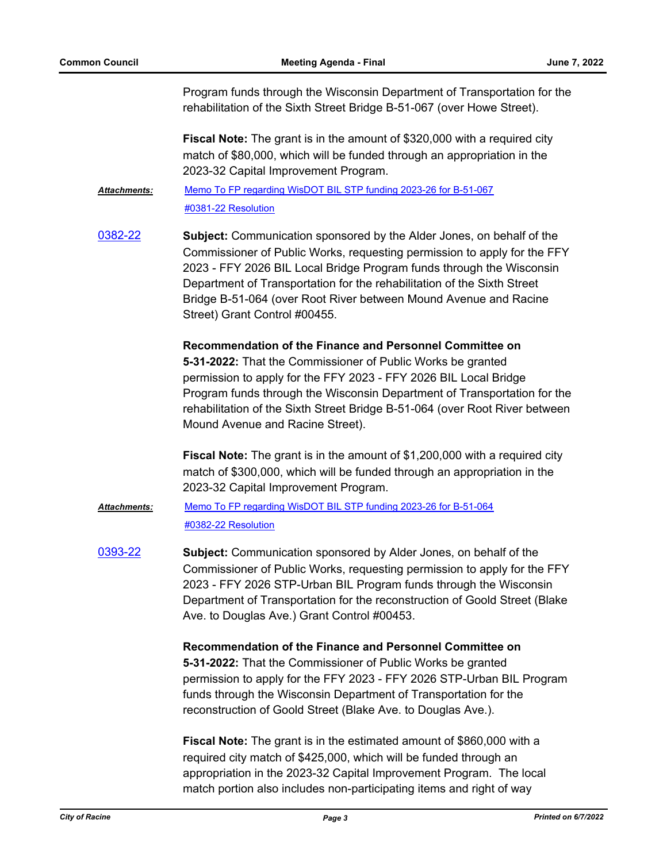Program funds through the Wisconsin Department of Transportation for the rehabilitation of the Sixth Street Bridge B-51-067 (over Howe Street).

**Fiscal Note:** The grant is in the amount of \$320,000 with a required city match of \$80,000, which will be funded through an appropriation in the 2023-32 Capital Improvement Program.

[Memo To FP regarding WisDOT BIL STP funding 2023-26 for B-51-067](http://cityofracine.legistar.com/gateway.aspx?M=F&ID=17e52b14-b3c6-45ca-a454-3c3421d2d289.pdf) [#0381-22 Resolution](http://cityofracine.legistar.com/gateway.aspx?M=F&ID=661edd73-646f-48dd-9029-22dbbd5f50ea.docx) *Attachments:*

[0382-22](http://cityofracine.legistar.com/gateway.aspx?m=l&id=/matter.aspx?key=33566) **Subject:** Communication sponsored by the Alder Jones, on behalf of the Commissioner of Public Works, requesting permission to apply for the FFY 2023 - FFY 2026 BIL Local Bridge Program funds through the Wisconsin Department of Transportation for the rehabilitation of the Sixth Street Bridge B-51-064 (over Root River between Mound Avenue and Racine Street) Grant Control #00455.

> **Recommendation of the Finance and Personnel Committee on 5-31-2022:** That the Commissioner of Public Works be granted permission to apply for the FFY 2023 - FFY 2026 BIL Local Bridge Program funds through the Wisconsin Department of Transportation for the rehabilitation of the Sixth Street Bridge B-51-064 (over Root River between Mound Avenue and Racine Street).

**Fiscal Note:** The grant is in the amount of \$1,200,000 with a required city match of \$300,000, which will be funded through an appropriation in the 2023-32 Capital Improvement Program.

[Memo To FP regarding WisDOT BIL STP funding 2023-26 for B-51-064](http://cityofracine.legistar.com/gateway.aspx?M=F&ID=1be4c9ee-dcfd-4393-acc1-bb5e3093319c.pdf) [#0382-22 Resolution](http://cityofracine.legistar.com/gateway.aspx?M=F&ID=d8b20722-4c3d-4bad-9481-135e59aabfff.docx) *Attachments:*

[0393-22](http://cityofracine.legistar.com/gateway.aspx?m=l&id=/matter.aspx?key=33577) **Subject:** Communication sponsored by Alder Jones, on behalf of the Commissioner of Public Works, requesting permission to apply for the FFY 2023 - FFY 2026 STP-Urban BIL Program funds through the Wisconsin Department of Transportation for the reconstruction of Goold Street (Blake Ave. to Douglas Ave.) Grant Control #00453.

> **Recommendation of the Finance and Personnel Committee on 5-31-2022:** That the Commissioner of Public Works be granted permission to apply for the FFY 2023 - FFY 2026 STP-Urban BIL Program funds through the Wisconsin Department of Transportation for the reconstruction of Goold Street (Blake Ave. to Douglas Ave.).

**Fiscal Note:** The grant is in the estimated amount of \$860,000 with a required city match of \$425,000, which will be funded through an appropriation in the 2023-32 Capital Improvement Program. The local match portion also includes non-participating items and right of way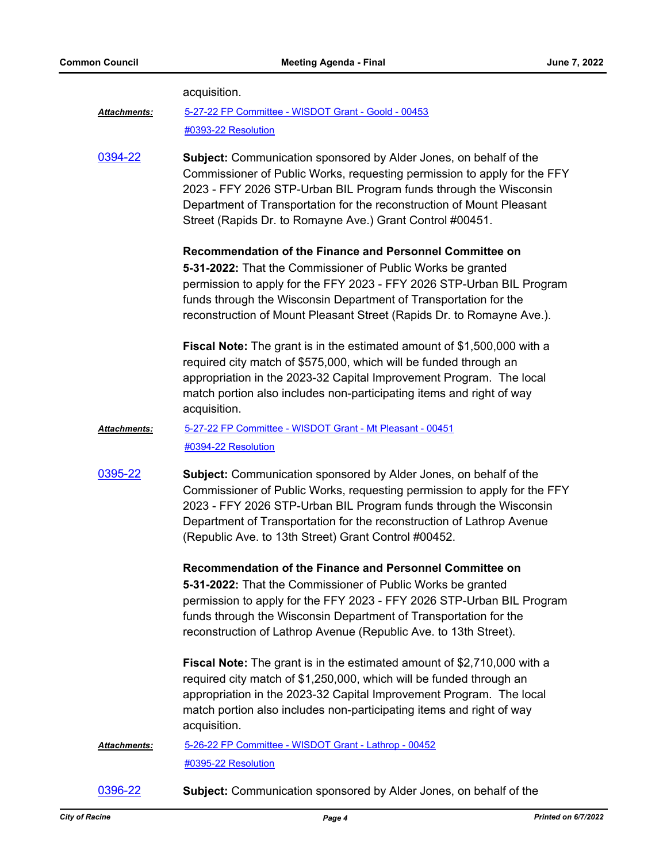|                     | acquisition.                                                                                                                                                                                                                                                                                                                                               |
|---------------------|------------------------------------------------------------------------------------------------------------------------------------------------------------------------------------------------------------------------------------------------------------------------------------------------------------------------------------------------------------|
| <b>Attachments:</b> | 5-27-22 FP Committee - WISDOT Grant - Goold - 00453                                                                                                                                                                                                                                                                                                        |
|                     | #0393-22 Resolution                                                                                                                                                                                                                                                                                                                                        |
| 0394-22             | Subject: Communication sponsored by Alder Jones, on behalf of the<br>Commissioner of Public Works, requesting permission to apply for the FFY<br>2023 - FFY 2026 STP-Urban BIL Program funds through the Wisconsin<br>Department of Transportation for the reconstruction of Mount Pleasant<br>Street (Rapids Dr. to Romayne Ave.) Grant Control #00451.   |
|                     | Recommendation of the Finance and Personnel Committee on<br>5-31-2022: That the Commissioner of Public Works be granted<br>permission to apply for the FFY 2023 - FFY 2026 STP-Urban BIL Program<br>funds through the Wisconsin Department of Transportation for the<br>reconstruction of Mount Pleasant Street (Rapids Dr. to Romayne Ave.).              |
|                     | <b>Fiscal Note:</b> The grant is in the estimated amount of \$1,500,000 with a<br>required city match of \$575,000, which will be funded through an<br>appropriation in the 2023-32 Capital Improvement Program. The local<br>match portion also includes non-participating items and right of way<br>acquisition.                                         |
| Attachments:        | 5-27-22 FP Committee - WISDOT Grant - Mt Pleasant - 00451                                                                                                                                                                                                                                                                                                  |
|                     | #0394-22 Resolution                                                                                                                                                                                                                                                                                                                                        |
| 0395-22             | <b>Subject:</b> Communication sponsored by Alder Jones, on behalf of the<br>Commissioner of Public Works, requesting permission to apply for the FFY<br>2023 - FFY 2026 STP-Urban BIL Program funds through the Wisconsin<br>Department of Transportation for the reconstruction of Lathrop Avenue<br>(Republic Ave. to 13th Street) Grant Control #00452. |
|                     | Recommendation of the Finance and Personnel Committee on                                                                                                                                                                                                                                                                                                   |
|                     | 5-31-2022: That the Commissioner of Public Works be granted<br>permission to apply for the FFY 2023 - FFY 2026 STP-Urban BIL Program<br>funds through the Wisconsin Department of Transportation for the                                                                                                                                                   |
|                     | reconstruction of Lathrop Avenue (Republic Ave. to 13th Street).                                                                                                                                                                                                                                                                                           |
|                     | <b>Fiscal Note:</b> The grant is in the estimated amount of \$2,710,000 with a<br>required city match of \$1,250,000, which will be funded through an<br>appropriation in the 2023-32 Capital Improvement Program. The local<br>match portion also includes non-participating items and right of way<br>acquisition.                                       |
| Attachments:        | 5-26-22 FP Committee - WISDOT Grant - Lathrop - 00452<br>#0395-22 Resolution                                                                                                                                                                                                                                                                               |

[0396-22](http://cityofracine.legistar.com/gateway.aspx?m=l&id=/matter.aspx?key=33580) **Subject:** Communication sponsored by Alder Jones, on behalf of the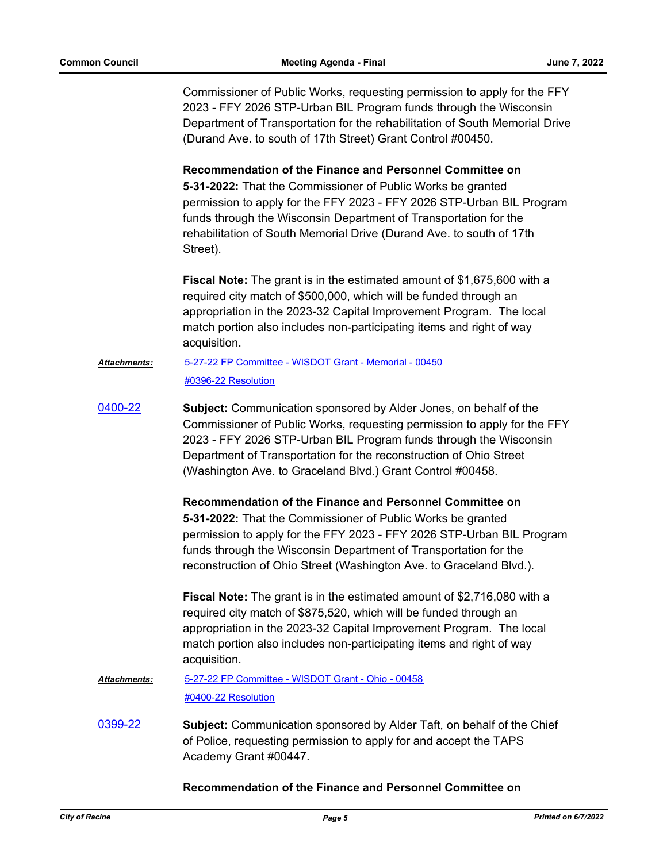Commissioner of Public Works, requesting permission to apply for the FFY 2023 - FFY 2026 STP-Urban BIL Program funds through the Wisconsin Department of Transportation for the rehabilitation of South Memorial Drive (Durand Ave. to south of 17th Street) Grant Control #00450.

**Recommendation of the Finance and Personnel Committee on 5-31-2022:** That the Commissioner of Public Works be granted permission to apply for the FFY 2023 - FFY 2026 STP-Urban BIL Program funds through the Wisconsin Department of Transportation for the rehabilitation of South Memorial Drive (Durand Ave. to south of 17th Street).

**Fiscal Note:** The grant is in the estimated amount of \$1,675,600 with a required city match of \$500,000, which will be funded through an appropriation in the 2023-32 Capital Improvement Program. The local match portion also includes non-participating items and right of way acquisition.

#### [5-27-22 FP Committee - WISDOT Grant - Memorial - 00450](http://cityofracine.legistar.com/gateway.aspx?M=F&ID=37a9e84f-63a2-4d57-9979-45bd23451f7e.pdf) [#0396-22 Resolution](http://cityofracine.legistar.com/gateway.aspx?M=F&ID=38217568-2be1-467f-a655-f587ba2d10fc.docx) *Attachments:*

[0400-22](http://cityofracine.legistar.com/gateway.aspx?m=l&id=/matter.aspx?key=33585) **Subject:** Communication sponsored by Alder Jones, on behalf of the Commissioner of Public Works, requesting permission to apply for the FFY 2023 - FFY 2026 STP-Urban BIL Program funds through the Wisconsin Department of Transportation for the reconstruction of Ohio Street (Washington Ave. to Graceland Blvd.) Grant Control #00458.

> **Recommendation of the Finance and Personnel Committee on 5-31-2022:** That the Commissioner of Public Works be granted permission to apply for the FFY 2023 - FFY 2026 STP-Urban BIL Program funds through the Wisconsin Department of Transportation for the reconstruction of Ohio Street (Washington Ave. to Graceland Blvd.).

**Fiscal Note:** The grant is in the estimated amount of \$2,716,080 with a required city match of \$875,520, which will be funded through an appropriation in the 2023-32 Capital Improvement Program. The local match portion also includes non-participating items and right of way acquisition.

#### [5-27-22 FP Committee - WISDOT Grant - Ohio - 00458](http://cityofracine.legistar.com/gateway.aspx?M=F&ID=05d992a2-f198-4b56-a290-f349e6db8051.pdf) [#0400-22 Resolution](http://cityofracine.legistar.com/gateway.aspx?M=F&ID=c0976712-8b89-473e-864f-47fe1570ede0.docx) *Attachments:*

[0399-22](http://cityofracine.legistar.com/gateway.aspx?m=l&id=/matter.aspx?key=33584) **Subject:** Communication sponsored by Alder Taft, on behalf of the Chief of Police, requesting permission to apply for and accept the TAPS Academy Grant #00447.

**Recommendation of the Finance and Personnel Committee on**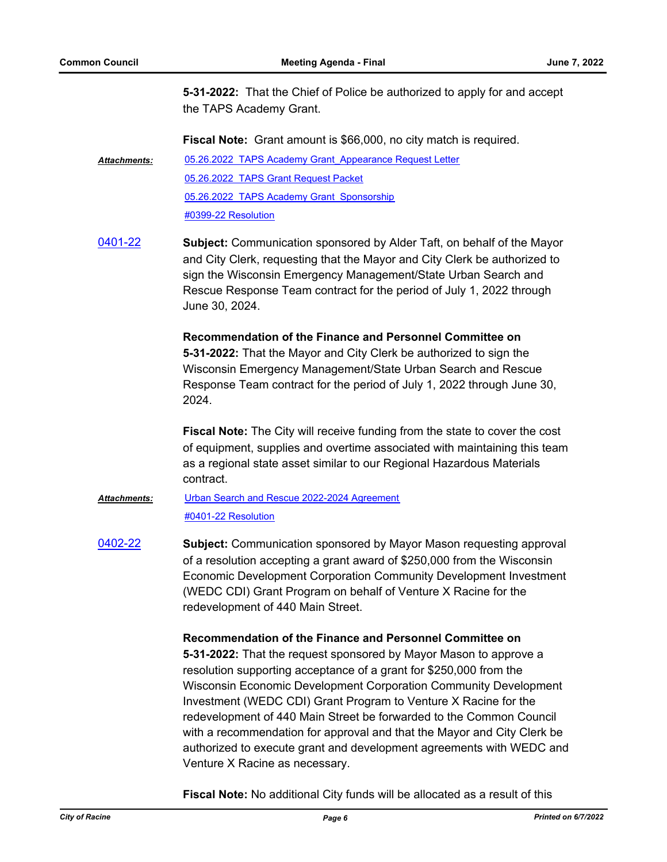**5-31-2022:** That the Chief of Police be authorized to apply for and accept the TAPS Academy Grant.

**Fiscal Note:** Grant amount is \$66,000, no city match is required.

05.26.2022 TAPS Academy Grant Appearance Request Letter [05.26.2022 TAPS Grant Request Packet](http://cityofracine.legistar.com/gateway.aspx?M=F&ID=7351a8da-4607-4bd5-87b7-b864550d9ccf.pdf) 05.26.2022 TAPS Academy Grant Sponsorship [#0399-22 Resolution](http://cityofracine.legistar.com/gateway.aspx?M=F&ID=30fabba1-046a-40c8-aa7f-8801692fa10c.docx) *Attachments:*

[0401-22](http://cityofracine.legistar.com/gateway.aspx?m=l&id=/matter.aspx?key=33586) **Subject:** Communication sponsored by Alder Taft, on behalf of the Mayor and City Clerk, requesting that the Mayor and City Clerk be authorized to sign the Wisconsin Emergency Management/State Urban Search and Rescue Response Team contract for the period of July 1, 2022 through June 30, 2024.

> **Recommendation of the Finance and Personnel Committee on 5-31-2022:** That the Mayor and City Clerk be authorized to sign the Wisconsin Emergency Management/State Urban Search and Rescue Response Team contract for the period of July 1, 2022 through June 30, 2024.

**Fiscal Note:** The City will receive funding from the state to cover the cost of equipment, supplies and overtime associated with maintaining this team as a regional state asset similar to our Regional Hazardous Materials contract.

#### [Urban Search and Rescue 2022-2024 Agreement](http://cityofracine.legistar.com/gateway.aspx?M=F&ID=42129d23-afc5-44c0-8ab0-78fab6511c11.pdf) [#0401-22 Resolution](http://cityofracine.legistar.com/gateway.aspx?M=F&ID=faeac488-c8ae-4b13-8880-e521438d20ef.docx) *Attachments:*

[0402-22](http://cityofracine.legistar.com/gateway.aspx?m=l&id=/matter.aspx?key=33587) **Subject:** Communication sponsored by Mayor Mason requesting approval of a resolution accepting a grant award of \$250,000 from the Wisconsin Economic Development Corporation Community Development Investment (WEDC CDI) Grant Program on behalf of Venture X Racine for the redevelopment of 440 Main Street.

### **Recommendation of the Finance and Personnel Committee on**

**5-31-2022:** That the request sponsored by Mayor Mason to approve a resolution supporting acceptance of a grant for \$250,000 from the Wisconsin Economic Development Corporation Community Development Investment (WEDC CDI) Grant Program to Venture X Racine for the redevelopment of 440 Main Street be forwarded to the Common Council with a recommendation for approval and that the Mayor and City Clerk be authorized to execute grant and development agreements with WEDC and Venture X Racine as necessary.

**Fiscal Note:** No additional City funds will be allocated as a result of this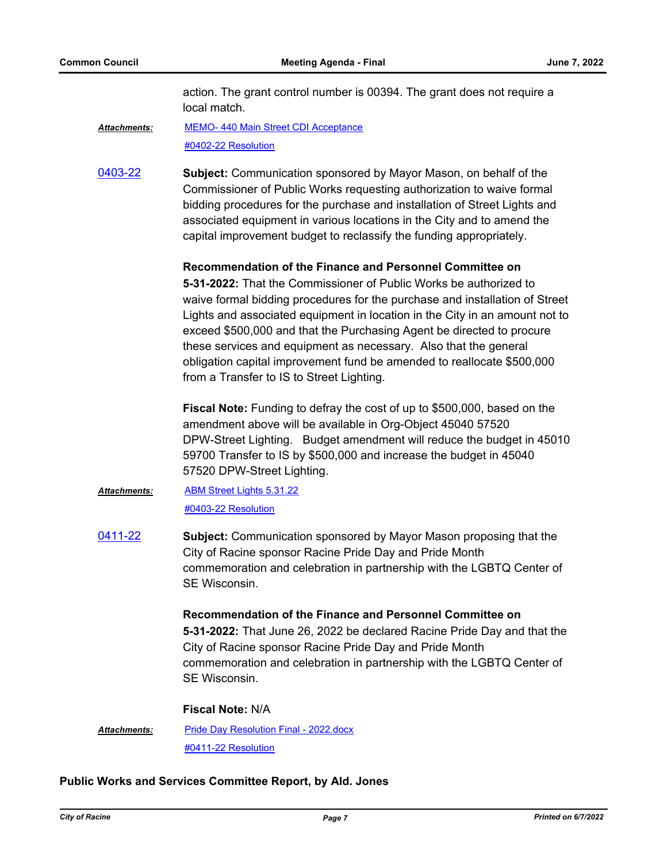action. The grant control number is 00394. The grant does not require a local match.

[MEMO- 440 Main Street CDI Acceptance](http://cityofracine.legistar.com/gateway.aspx?M=F&ID=7bf35752-7add-4719-a47c-5142d250ba8c.pdf) [#0402-22 Resolution](http://cityofracine.legistar.com/gateway.aspx?M=F&ID=4681c768-fe44-46cc-b759-06fc035e90fe.docx) *Attachments:*

[0403-22](http://cityofracine.legistar.com/gateway.aspx?m=l&id=/matter.aspx?key=33588) **Subject:** Communication sponsored by Mayor Mason, on behalf of the Commissioner of Public Works requesting authorization to waive formal bidding procedures for the purchase and installation of Street Lights and associated equipment in various locations in the City and to amend the capital improvement budget to reclassify the funding appropriately.

#### **Recommendation of the Finance and Personnel Committee on**

**5-31-2022:** That the Commissioner of Public Works be authorized to waive formal bidding procedures for the purchase and installation of Street Lights and associated equipment in location in the City in an amount not to exceed \$500,000 and that the Purchasing Agent be directed to procure these services and equipment as necessary. Also that the general obligation capital improvement fund be amended to reallocate \$500,000 from a Transfer to IS to Street Lighting.

**Fiscal Note:** Funding to defray the cost of up to \$500,000, based on the amendment above will be available in Org-Object 45040 57520 DPW-Street Lighting. Budget amendment will reduce the budget in 45010 59700 Transfer to IS by \$500,000 and increase the budget in 45040 57520 DPW-Street Lighting.

- [ABM Street Lights 5.31.22](http://cityofracine.legistar.com/gateway.aspx?M=F&ID=2b8768da-c035-4697-976f-663546f1c7f9.docx) [#0403-22 Resolution](http://cityofracine.legistar.com/gateway.aspx?M=F&ID=e7c869a2-6566-4d29-a3f6-8aca28a5d350.docx) *Attachments:*
- [0411-22](http://cityofracine.legistar.com/gateway.aspx?m=l&id=/matter.aspx?key=33597) **Subject:** Communication sponsored by Mayor Mason proposing that the City of Racine sponsor Racine Pride Day and Pride Month commemoration and celebration in partnership with the LGBTQ Center of SE Wisconsin.

**Recommendation of the Finance and Personnel Committee on 5-31-2022:** That June 26, 2022 be declared Racine Pride Day and that the City of Racine sponsor Racine Pride Day and Pride Month commemoration and celebration in partnership with the LGBTQ Center of SE Wisconsin.

#### **Fiscal Note:** N/A

[Pride Day Resolution Final - 2022.docx](http://cityofracine.legistar.com/gateway.aspx?M=F&ID=aa36c24f-8129-4755-bc2c-6e6cc8347349.docx) [#0411-22 Resolution](http://cityofracine.legistar.com/gateway.aspx?M=F&ID=6e4a12db-6c88-41b7-8711-9a58c153bf2e.docx) *Attachments:*

#### **Public Works and Services Committee Report, by Ald. Jones**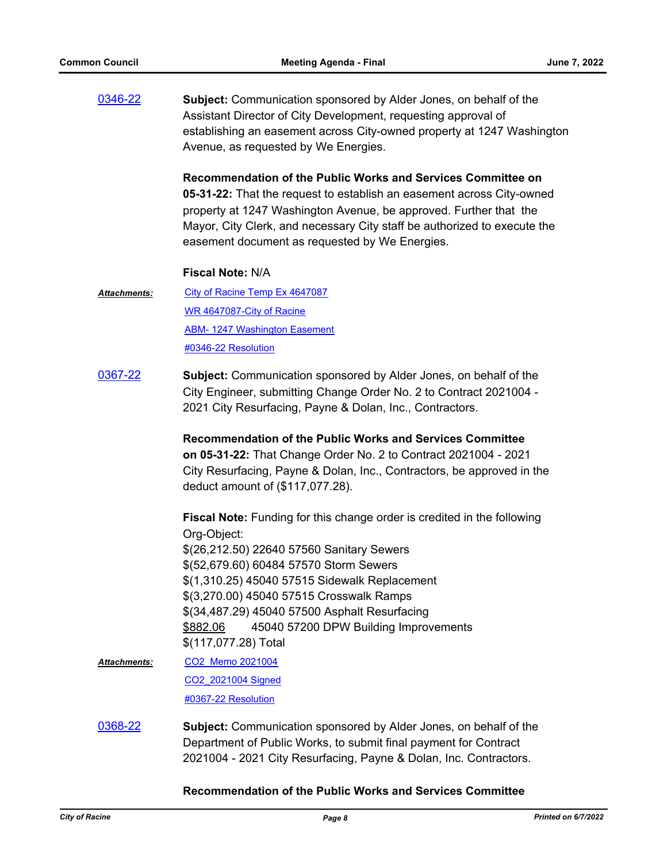[0346-22](http://cityofracine.legistar.com/gateway.aspx?m=l&id=/matter.aspx?key=33522) **Subject:** Communication sponsored by Alder Jones, on behalf of the Assistant Director of City Development, requesting approval of establishing an easement across City-owned property at 1247 Washington Avenue, as requested by We Energies.

> **Recommendation of the Public Works and Services Committee on 05-31-22:** That the request to establish an easement across City-owned property at 1247 Washington Avenue, be approved. Further that the Mayor, City Clerk, and necessary City staff be authorized to execute the easement document as requested by We Energies.

#### **Fiscal Note:** N/A

- [City of Racine Temp Ex 4647087](http://cityofracine.legistar.com/gateway.aspx?M=F&ID=6edf1933-3d41-4291-a4fe-56cf059107df.pdf) [WR 4647087-City of Racine](http://cityofracine.legistar.com/gateway.aspx?M=F&ID=e3fc8c1a-d192-4c17-b335-1dff2712b777.pdf) **[ABM- 1247 Washington Easement](http://cityofracine.legistar.com/gateway.aspx?M=F&ID=ec4e72ee-8a2c-4fa1-bafc-026f90eade27.pdf)** [#0346-22 Resolution](http://cityofracine.legistar.com/gateway.aspx?M=F&ID=7e7e21f3-39df-4753-8b1a-955311581c11.docx) *Attachments:*
- [0367-22](http://cityofracine.legistar.com/gateway.aspx?m=l&id=/matter.aspx?key=33546) **Subject:** Communication sponsored by Alder Jones, on behalf of the City Engineer, submitting Change Order No. 2 to Contract 2021004 - 2021 City Resurfacing, Payne & Dolan, Inc., Contractors.

**Recommendation of the Public Works and Services Committee on 05-31-22:** That Change Order No. 2 to Contract 2021004 - 2021 City Resurfacing, Payne & Dolan, Inc., Contractors, be approved in the deduct amount of (\$117,077.28).

**Fiscal Note:** Funding for this change order is credited in the following Org-Object: \$(26,212.50) 22640 57560 Sanitary Sewers \$(52,679.60) 60484 57570 Storm Sewers \$(1,310.25) 45040 57515 Sidewalk Replacement \$(3,270.00) 45040 57515 Crosswalk Ramps \$(34,487.29) 45040 57500 Asphalt Resurfacing \$882.06 45040 57200 DPW Building Improvements \$(117,077.28) Total

- [CO2\\_Memo 2021004](http://cityofracine.legistar.com/gateway.aspx?M=F&ID=5635321a-24eb-4069-9ef3-43d8cbb37922.pdf) [CO2\\_2021004 Signed](http://cityofracine.legistar.com/gateway.aspx?M=F&ID=55ee7ac4-df89-49cd-85c0-34b884566b2f.pdf) [#0367-22 Resolution](http://cityofracine.legistar.com/gateway.aspx?M=F&ID=7bb935ed-ab10-400d-ad8d-2897076fac2c.docx) *Attachments:*
- [0368-22](http://cityofracine.legistar.com/gateway.aspx?m=l&id=/matter.aspx?key=33547) **Subject:** Communication sponsored by Alder Jones, on behalf of the Department of Public Works, to submit final payment for Contract 2021004 - 2021 City Resurfacing, Payne & Dolan, Inc. Contractors.

#### **Recommendation of the Public Works and Services Committee**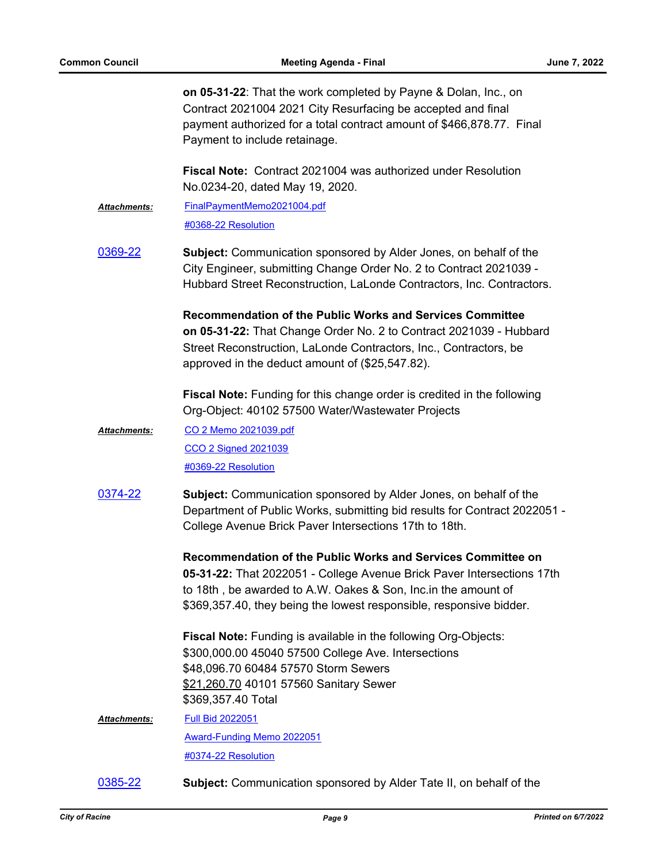**on 05-31-22**: That the work completed by Payne & Dolan, Inc., on Contract 2021004 2021 City Resurfacing be accepted and final payment authorized for a total contract amount of \$466,878.77. Final Payment to include retainage.

**Fiscal Note:** Contract 2021004 was authorized under Resolution No.0234-20, dated May 19, 2020.

[FinalPaymentMemo2021004.pdf](http://cityofracine.legistar.com/gateway.aspx?M=F&ID=08971d89-8b4e-4d47-bb76-dd0ea562406b.pdf) [#0368-22 Resolution](http://cityofracine.legistar.com/gateway.aspx?M=F&ID=d41eadbe-2447-4e8d-8926-4ed09acd51f7.docx) *Attachments:*

[0369-22](http://cityofracine.legistar.com/gateway.aspx?m=l&id=/matter.aspx?key=33548) **Subject:** Communication sponsored by Alder Jones, on behalf of the City Engineer, submitting Change Order No. 2 to Contract 2021039 - Hubbard Street Reconstruction, LaLonde Contractors, Inc. Contractors.

> **Recommendation of the Public Works and Services Committee on 05-31-22:** That Change Order No. 2 to Contract 2021039 - Hubbard Street Reconstruction, LaLonde Contractors, Inc., Contractors, be approved in the deduct amount of (\$25,547.82).

**Fiscal Note:** Funding for this change order is credited in the following Org-Object: 40102 57500 Water/Wastewater Projects

- [CO 2 Memo 2021039.pdf](http://cityofracine.legistar.com/gateway.aspx?M=F&ID=79d14ee6-3949-471a-a9fb-e1f3e603f7f7.pdf) [CCO 2 Signed 2021039](http://cityofracine.legistar.com/gateway.aspx?M=F&ID=e96093ce-2496-4081-a026-5c9eadb75fe7.pdf) [#0369-22 Resolution](http://cityofracine.legistar.com/gateway.aspx?M=F&ID=28cdfcf6-f47a-479d-9698-d579d7719cea.docx) *Attachments:*
- [0374-22](http://cityofracine.legistar.com/gateway.aspx?m=l&id=/matter.aspx?key=33555) **Subject:** Communication sponsored by Alder Jones, on behalf of the Department of Public Works, submitting bid results for Contract 2022051 - College Avenue Brick Paver Intersections 17th to 18th.

**Recommendation of the Public Works and Services Committee on 05-31-22:** That 2022051 - College Avenue Brick Paver Intersections 17th to 18th , be awarded to A.W. Oakes & Son, Inc.in the amount of \$369,357.40, they being the lowest responsible, responsive bidder.

**Fiscal Note:** Funding is available in the following Org-Objects: \$300,000.00 45040 57500 College Ave. Intersections \$48,096.70 60484 57570 Storm Sewers \$21,260.70 40101 57560 Sanitary Sewer \$369,357.40 Total

- [Full Bid 2022051](http://cityofracine.legistar.com/gateway.aspx?M=F&ID=f62fd0fe-e0e4-4367-bf3a-f5502fc9e723.pdf) [Award-Funding Memo 2022051](http://cityofracine.legistar.com/gateway.aspx?M=F&ID=3a6780cd-6d9a-4798-9ef4-5011f74b42a0.pdf) [#0374-22 Resolution](http://cityofracine.legistar.com/gateway.aspx?M=F&ID=b51559aa-4d53-400e-8f97-b5045261f2f4.docx) *Attachments:*
- [0385-22](http://cityofracine.legistar.com/gateway.aspx?m=l&id=/matter.aspx?key=33569) **Subject:** Communication sponsored by Alder Tate II, on behalf of the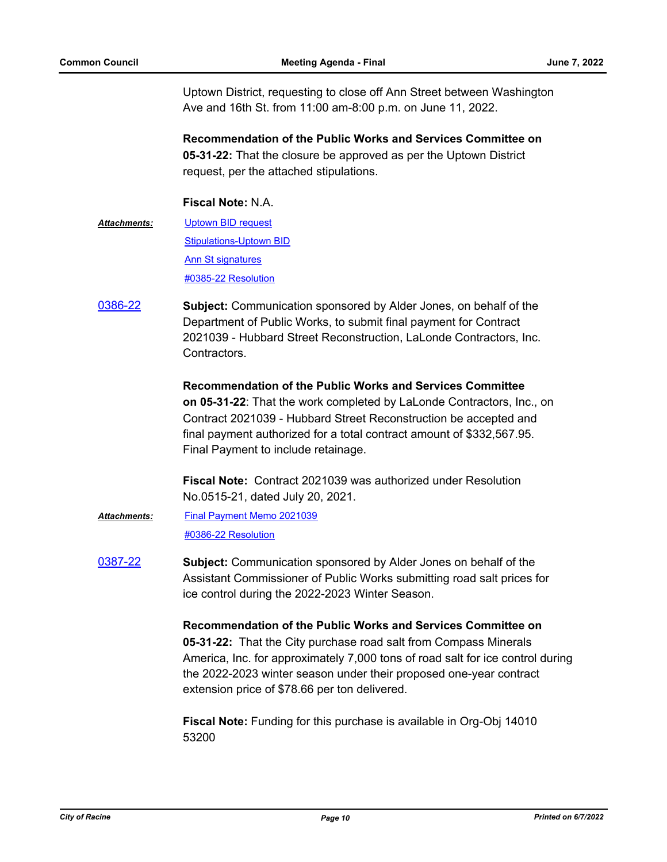Uptown District, requesting to close off Ann Street between Washington Ave and 16th St. from 11:00 am-8:00 p.m. on June 11, 2022.

**Recommendation of the Public Works and Services Committee on 05-31-22:** That the closure be approved as per the Uptown District request, per the attached stipulations.

## **Fiscal Note:** N.A.

- [Uptown BID request](http://cityofracine.legistar.com/gateway.aspx?M=F&ID=4d3d1876-2d60-4511-adc7-dd1b835d54c0.pdf) **[Stipulations-Uptown BID](http://cityofracine.legistar.com/gateway.aspx?M=F&ID=0141cebb-7316-4d40-b5fb-d20785e2de0e.pdf) [Ann St signatures](http://cityofracine.legistar.com/gateway.aspx?M=F&ID=2b2f6b5c-4980-4ba0-b0a1-4fad9867829c.pdf)** [#0385-22 Resolution](http://cityofracine.legistar.com/gateway.aspx?M=F&ID=90bf1df8-1694-4018-bf01-1d0f5dade08c.docx) *Attachments:*
- [0386-22](http://cityofracine.legistar.com/gateway.aspx?m=l&id=/matter.aspx?key=33570) **Subject:** Communication sponsored by Alder Jones, on behalf of the Department of Public Works, to submit final payment for Contract 2021039 - Hubbard Street Reconstruction, LaLonde Contractors, Inc. Contractors.

**Recommendation of the Public Works and Services Committee on 05-31-22**: That the work completed by LaLonde Contractors, Inc., on Contract 2021039 - Hubbard Street Reconstruction be accepted and final payment authorized for a total contract amount of \$332,567.95. Final Payment to include retainage.

**Fiscal Note:** Contract 2021039 was authorized under Resolution No.0515-21, dated July 20, 2021.

- [Final Payment Memo 2021039](http://cityofracine.legistar.com/gateway.aspx?M=F&ID=149a3238-7b9b-4c9c-b044-9695a7f2ac3d.pdf) [#0386-22 Resolution](http://cityofracine.legistar.com/gateway.aspx?M=F&ID=7e0b75af-6dd6-4279-ba9c-3d28a6359e02.docx) *Attachments:*
- [0387-22](http://cityofracine.legistar.com/gateway.aspx?m=l&id=/matter.aspx?key=33572) **Subject:** Communication sponsored by Alder Jones on behalf of the Assistant Commissioner of Public Works submitting road salt prices for ice control during the 2022-2023 Winter Season.

**Recommendation of the Public Works and Services Committee on 05-31-22:** That the City purchase road salt from Compass Minerals America, Inc. for approximately 7,000 tons of road salt for ice control during the 2022-2023 winter season under their proposed one-year contract extension price of \$78.66 per ton delivered.

**Fiscal Note:** Funding for this purchase is available in Org-Obj 14010 53200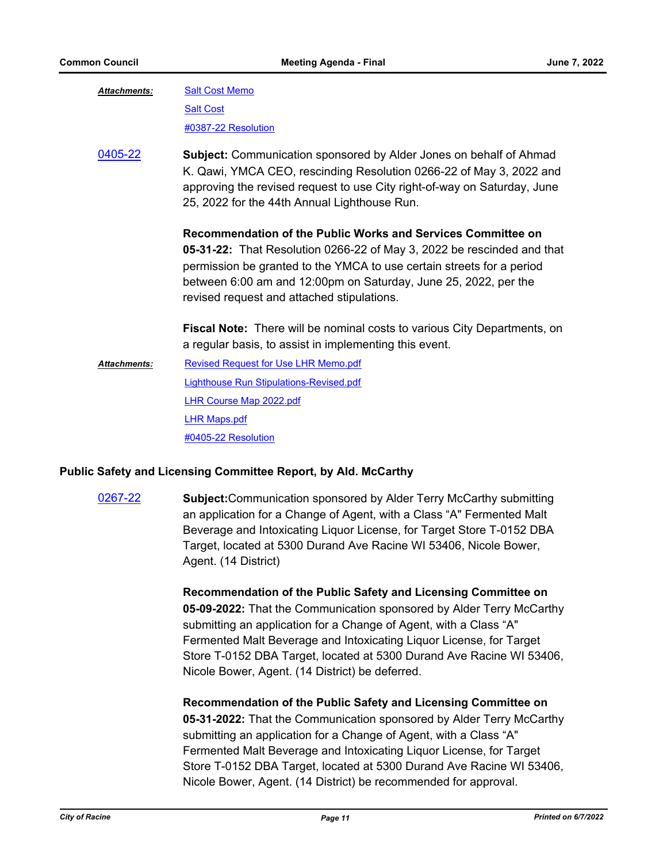| <b>Attachments:</b> | <b>Salt Cost Memo</b>                                                                                                                                                                                                                                                                                                            |
|---------------------|----------------------------------------------------------------------------------------------------------------------------------------------------------------------------------------------------------------------------------------------------------------------------------------------------------------------------------|
|                     | <b>Salt Cost</b>                                                                                                                                                                                                                                                                                                                 |
|                     | #0387-22 Resolution                                                                                                                                                                                                                                                                                                              |
| 0405-22             | <b>Subject:</b> Communication sponsored by Alder Jones on behalf of Ahmad<br>K. Qawi, YMCA CEO, rescinding Resolution 0266-22 of May 3, 2022 and<br>approving the revised request to use City right-of-way on Saturday, June<br>25, 2022 for the 44th Annual Lighthouse Run.                                                     |
|                     | Recommendation of the Public Works and Services Committee on<br>05-31-22: That Resolution 0266-22 of May 3, 2022 be rescinded and that<br>permission be granted to the YMCA to use certain streets for a period<br>between 6:00 am and 12:00pm on Saturday, June 25, 2022, per the<br>revised request and attached stipulations. |
|                     | <b>Fiscal Note:</b> There will be nominal costs to various City Departments, on<br>a regular basis, to assist in implementing this event.                                                                                                                                                                                        |
| <b>Attachments:</b> | <b>Revised Request for Use LHR Memo.pdf</b>                                                                                                                                                                                                                                                                                      |
|                     | Lighthouse Run Stipulations-Revised.pdf                                                                                                                                                                                                                                                                                          |
|                     | <b>LHR Course Map 2022.pdf</b>                                                                                                                                                                                                                                                                                                   |
|                     | <b>LHR Maps.pdf</b>                                                                                                                                                                                                                                                                                                              |
|                     | #0405-22 Resolution                                                                                                                                                                                                                                                                                                              |
|                     |                                                                                                                                                                                                                                                                                                                                  |

#### **Public Safety and Licensing Committee Report, by Ald. McCarthy**

[0267-22](http://cityofracine.legistar.com/gateway.aspx?m=l&id=/matter.aspx?key=33436) **Subject:**Communication sponsored by Alder Terry McCarthy submitting an application for a Change of Agent, with a Class "A" Fermented Malt Beverage and Intoxicating Liquor License, for Target Store T-0152 DBA Target, located at 5300 Durand Ave Racine WI 53406, Nicole Bower, Agent. (14 District)

> **Recommendation of the Public Safety and Licensing Committee on 05-09-2022:** That the Communication sponsored by Alder Terry McCarthy submitting an application for a Change of Agent, with a Class "A" Fermented Malt Beverage and Intoxicating Liquor License, for Target Store T-0152 DBA Target, located at 5300 Durand Ave Racine WI 53406, Nicole Bower, Agent. (14 District) be deferred.

> **Recommendation of the Public Safety and Licensing Committee on 05-31-2022:** That the Communication sponsored by Alder Terry McCarthy submitting an application for a Change of Agent, with a Class "A" Fermented Malt Beverage and Intoxicating Liquor License, for Target Store T-0152 DBA Target, located at 5300 Durand Ave Racine WI 53406, Nicole Bower, Agent. (14 District) be recommended for approval.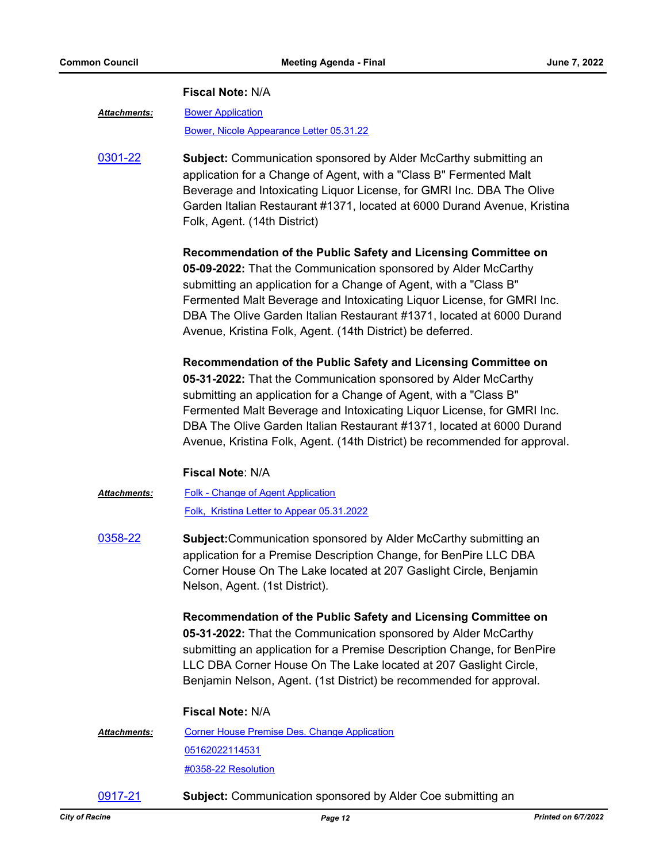#### **Fiscal Note:** N/A

[Bower Application](http://cityofracine.legistar.com/gateway.aspx?M=F&ID=6168f279-7776-400c-bf11-258972f93e71.pdf) *Attachments:*

[Bower, Nicole Appearance Letter 05.31.22](http://cityofracine.legistar.com/gateway.aspx?M=F&ID=4da1faa1-4716-488d-94ab-fb38c9438bdf.docx)

[0301-22](http://cityofracine.legistar.com/gateway.aspx?m=l&id=/matter.aspx?key=33472) **Subject:** Communication sponsored by Alder McCarthy submitting an application for a Change of Agent, with a "Class B" Fermented Malt Beverage and Intoxicating Liquor License, for GMRI Inc. DBA The Olive Garden Italian Restaurant #1371, located at 6000 Durand Avenue, Kristina Folk, Agent. (14th District)

> **Recommendation of the Public Safety and Licensing Committee on 05-09-2022:** That the Communication sponsored by Alder McCarthy submitting an application for a Change of Agent, with a "Class B" Fermented Malt Beverage and Intoxicating Liquor License, for GMRI Inc. DBA The Olive Garden Italian Restaurant #1371, located at 6000 Durand Avenue, Kristina Folk, Agent. (14th District) be deferred.

**Recommendation of the Public Safety and Licensing Committee on 05-31-2022:** That the Communication sponsored by Alder McCarthy submitting an application for a Change of Agent, with a "Class B" Fermented Malt Beverage and Intoxicating Liquor License, for GMRI Inc. DBA The Olive Garden Italian Restaurant #1371, located at 6000 Durand Avenue, Kristina Folk, Agent. (14th District) be recommended for approval.

#### **Fiscal Note**: N/A

- [Folk Change of Agent Application](http://cityofracine.legistar.com/gateway.aspx?M=F&ID=66debfc8-3101-49f3-90ce-ef8eedeb3633.pdf) [Folk, Kristina Letter to Appear 05.31.2022](http://cityofracine.legistar.com/gateway.aspx?M=F&ID=4465f178-b5ab-4336-a150-4e9204c92ceb.docx) *Attachments:*
- [0358-22](http://cityofracine.legistar.com/gateway.aspx?m=l&id=/matter.aspx?key=33535) **Subject:**Communication sponsored by Alder McCarthy submitting an application for a Premise Description Change, for BenPire LLC DBA Corner House On The Lake located at 207 Gaslight Circle, Benjamin Nelson, Agent. (1st District).

**Recommendation of the Public Safety and Licensing Committee on 05-31-2022:** That the Communication sponsored by Alder McCarthy submitting an application for a Premise Description Change, for BenPire LLC DBA Corner House On The Lake located at 207 Gaslight Circle, Benjamin Nelson, Agent. (1st District) be recommended for approval.

#### **Fiscal Note:** N/A

[Corner House Premise Des. Change Application](http://cityofracine.legistar.com/gateway.aspx?M=F&ID=6e21874d-5fd8-4f48-a322-e43dd7e6e52b.pdf) [05162022114531](http://cityofracine.legistar.com/gateway.aspx?M=F&ID=522bb492-b3e9-46c9-8e99-49361b876d4e.pdf) [#0358-22 Resolution](http://cityofracine.legistar.com/gateway.aspx?M=F&ID=a875e1ce-4aca-4618-866b-1461c79b0c1f.docx) *Attachments:*

[0917-21](http://cityofracine.legistar.com/gateway.aspx?m=l&id=/matter.aspx?key=33035) **Subject:** Communication sponsored by Alder Coe submitting an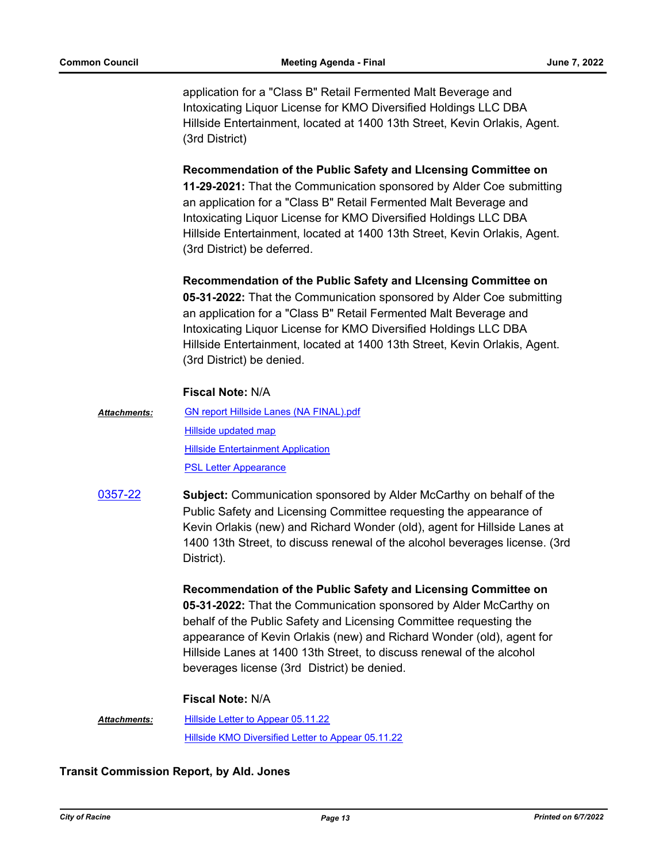application for a "Class B" Retail Fermented Malt Beverage and Intoxicating Liquor License for KMO Diversified Holdings LLC DBA Hillside Entertainment, located at 1400 13th Street, Kevin Orlakis, Agent. (3rd District)

**Recommendation of the Public Safety and LIcensing Committee on** 

**11-29-2021:** That the Communication sponsored by Alder Coe submitting an application for a "Class B" Retail Fermented Malt Beverage and Intoxicating Liquor License for KMO Diversified Holdings LLC DBA Hillside Entertainment, located at 1400 13th Street, Kevin Orlakis, Agent. (3rd District) be deferred.

**Recommendation of the Public Safety and LIcensing Committee on** 

**05-31-2022:** That the Communication sponsored by Alder Coe submitting an application for a "Class B" Retail Fermented Malt Beverage and Intoxicating Liquor License for KMO Diversified Holdings LLC DBA Hillside Entertainment, located at 1400 13th Street, Kevin Orlakis, Agent. (3rd District) be denied.

### **Fiscal Note:** N/A

- [GN report Hillside Lanes \(NA FINAL\).pdf](http://cityofracine.legistar.com/gateway.aspx?M=F&ID=302883b0-ab7b-4024-bad4-a1a68cc6ad7b.pdf) [Hillside updated map](http://cityofracine.legistar.com/gateway.aspx?M=F&ID=156faad1-5116-496d-a65c-5bce42973a75.pdf) [Hillside Entertainment Application](http://cityofracine.legistar.com/gateway.aspx?M=F&ID=9e75e076-aadb-43d3-8134-bf7581e0f56d.pdf) [PSL Letter Appearance](http://cityofracine.legistar.com/gateway.aspx?M=F&ID=9c723e76-4258-4e1e-9a1d-617d015425d4.doc) *Attachments:*
- [0357-22](http://cityofracine.legistar.com/gateway.aspx?m=l&id=/matter.aspx?key=33534) **Subject:** Communication sponsored by Alder McCarthy on behalf of the Public Safety and Licensing Committee requesting the appearance of Kevin Orlakis (new) and Richard Wonder (old), agent for Hillside Lanes at 1400 13th Street, to discuss renewal of the alcohol beverages license. (3rd District).

**Recommendation of the Public Safety and Licensing Committee on 05-31-2022:** That the Communication sponsored by Alder McCarthy on behalf of the Public Safety and Licensing Committee requesting the

appearance of Kevin Orlakis (new) and Richard Wonder (old), agent for Hillside Lanes at 1400 13th Street, to discuss renewal of the alcohol beverages license (3rd District) be denied.

#### **Fiscal Note:** N/A

[Hillside Letter to Appear 05.11.22](http://cityofracine.legistar.com/gateway.aspx?M=F&ID=bf534474-efa3-4e22-abe7-635fd2736e24.docx) [Hillside KMO Diversified Letter to Appear 05.11.22](http://cityofracine.legistar.com/gateway.aspx?M=F&ID=554f2f8b-da4a-482e-978d-056f9b39a82a.docx) *Attachments:*

## **Transit Commission Report, by Ald. Jones**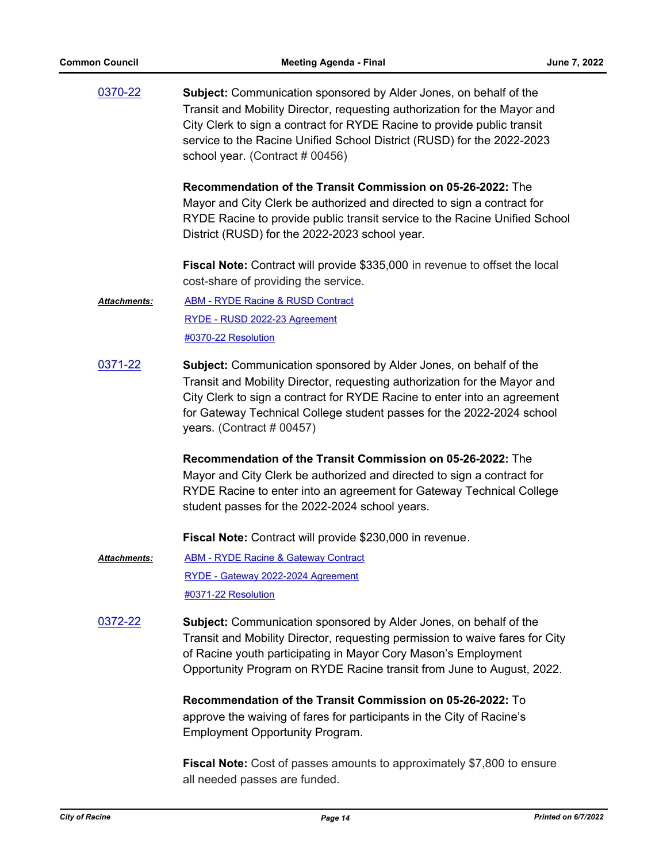[0370-22](http://cityofracine.legistar.com/gateway.aspx?m=l&id=/matter.aspx?key=33549) **Subject:** Communication sponsored by Alder Jones, on behalf of the Transit and Mobility Director, requesting authorization for the Mayor and City Clerk to sign a contract for RYDE Racine to provide public transit service to the Racine Unified School District (RUSD) for the 2022-2023 school year. (Contract # 00456) **Recommendation of the Transit Commission on 05-26-2022:** The Mayor and City Clerk be authorized and directed to sign a contract for RYDE Racine to provide public transit service to the Racine Unified School District (RUSD) for the 2022-2023 school year. **Fiscal Note:** Contract will provide \$335,000 in revenue to offset the local cost-share of providing the service. [ABM - RYDE Racine & RUSD Contract](http://cityofracine.legistar.com/gateway.aspx?M=F&ID=2984ab3b-7a42-40c5-9eda-d900ffc72afa.pdf) [RYDE - RUSD 2022-23 Agreement](http://cityofracine.legistar.com/gateway.aspx?M=F&ID=632f656a-1dac-43ec-85d0-8d065cb84570.pdf) [#0370-22 Resolution](http://cityofracine.legistar.com/gateway.aspx?M=F&ID=c32d5a51-9bdc-47ec-8ccb-3a3559a5f95e.docx) *Attachments:* [0371-22](http://cityofracine.legistar.com/gateway.aspx?m=l&id=/matter.aspx?key=33550) **Subject:** Communication sponsored by Alder Jones, on behalf of the Transit and Mobility Director, requesting authorization for the Mayor and City Clerk to sign a contract for RYDE Racine to enter into an agreement for Gateway Technical College student passes for the 2022-2024 school years. (Contract # 00457) **Recommendation of the Transit Commission on 05-26-2022:** The Mayor and City Clerk be authorized and directed to sign a contract for RYDE Racine to enter into an agreement for Gateway Technical College student passes for the 2022-2024 school years. **Fiscal Note:** Contract will provide \$230,000 in revenue. [ABM - RYDE Racine & Gateway Contract](http://cityofracine.legistar.com/gateway.aspx?M=F&ID=5b935f4e-b469-49c7-a6ee-a52474e86ad8.pdf) [RYDE - Gateway 2022-2024 Agreement](http://cityofracine.legistar.com/gateway.aspx?M=F&ID=c9cf8339-271b-4352-b64e-cc1f81118e33.pdf) [#0371-22 Resolution](http://cityofracine.legistar.com/gateway.aspx?M=F&ID=5172a17b-3829-4ae8-8957-b351c3be6100.docx) *Attachments:* [0372-22](http://cityofracine.legistar.com/gateway.aspx?m=l&id=/matter.aspx?key=33551) **Subject:** Communication sponsored by Alder Jones, on behalf of the Transit and Mobility Director, requesting permission to waive fares for City of Racine youth participating in Mayor Cory Mason's Employment Opportunity Program on RYDE Racine transit from June to August, 2022. **Recommendation of the Transit Commission on 05-26-2022:** To approve the waiving of fares for participants in the City of Racine's Employment Opportunity Program. **Fiscal Note:** Cost of passes amounts to approximately \$7,800 to ensure

all needed passes are funded.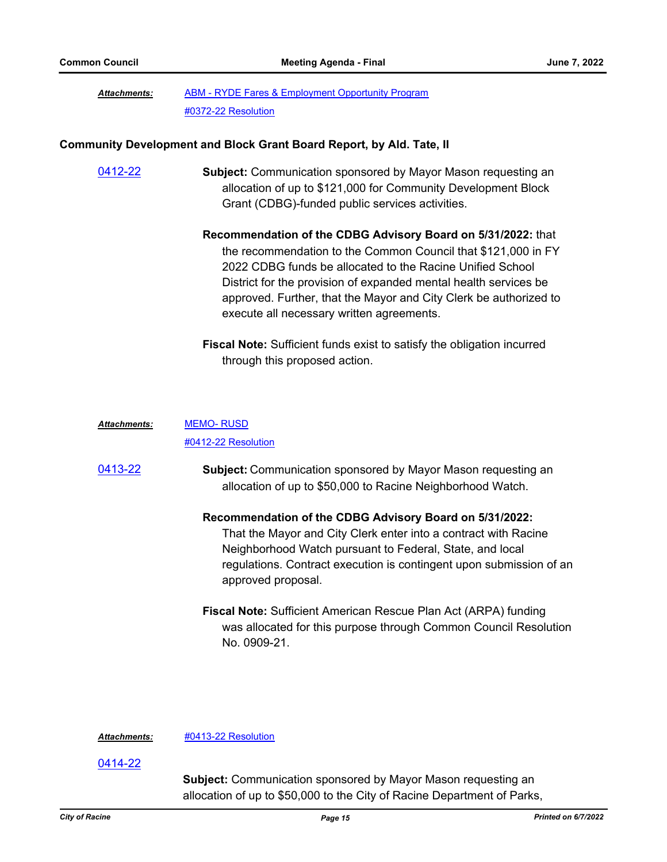#### [ABM - RYDE Fares & Employment Opportunity Program](http://cityofracine.legistar.com/gateway.aspx?M=F&ID=2790b284-76b4-46ea-a322-d2e6f4427411.pdf) [#0372-22 Resolution](http://cityofracine.legistar.com/gateway.aspx?M=F&ID=718f44ca-877f-4619-80d5-e9940c81e7c9.docx) *Attachments:*

#### **Community Development and Block Grant Board Report, by Ald. Tate, II**

[0412-22](http://cityofracine.legistar.com/gateway.aspx?m=l&id=/matter.aspx?key=33598) **Subject:** Communication sponsored by Mayor Mason requesting an allocation of up to \$121,000 for Community Development Block Grant (CDBG)-funded public services activities.

> **Recommendation of the CDBG Advisory Board on 5/31/2022:** that the recommendation to the Common Council that \$121,000 in FY 2022 CDBG funds be allocated to the Racine Unified School District for the provision of expanded mental health services be approved. Further, that the Mayor and City Clerk be authorized to execute all necessary written agreements.

**Fiscal Note:** Sufficient funds exist to satisfy the obligation incurred through this proposed action.

#### [MEMO- RUSD](http://cityofracine.legistar.com/gateway.aspx?M=F&ID=49135dd1-65c4-411f-a616-713cd05c1420.pdf) *Attachments:*

[#0412-22 Resolution](http://cityofracine.legistar.com/gateway.aspx?M=F&ID=03687409-62ad-4cb3-a317-8f54b6143de1.docx)

[0413-22](http://cityofracine.legistar.com/gateway.aspx?m=l&id=/matter.aspx?key=33599) **Subject:** Communication sponsored by Mayor Mason requesting an allocation of up to \$50,000 to Racine Neighborhood Watch.

> **Recommendation of the CDBG Advisory Board on 5/31/2022:** That the Mayor and City Clerk enter into a contract with Racine Neighborhood Watch pursuant to Federal, State, and local regulations. Contract execution is contingent upon submission of an approved proposal.

> **Fiscal Note:** Sufficient American Rescue Plan Act (ARPA) funding was allocated for this purpose through Common Council Resolution No. 0909-21.

#### *Attachments:* [#0413-22 Resolution](http://cityofracine.legistar.com/gateway.aspx?M=F&ID=60015684-0ba4-4ab5-ade6-a2f3b9c02d0c.docx)

[0414-22](http://cityofracine.legistar.com/gateway.aspx?m=l&id=/matter.aspx?key=33600)

**Subject:** Communication sponsored by Mayor Mason requesting an allocation of up to \$50,000 to the City of Racine Department of Parks,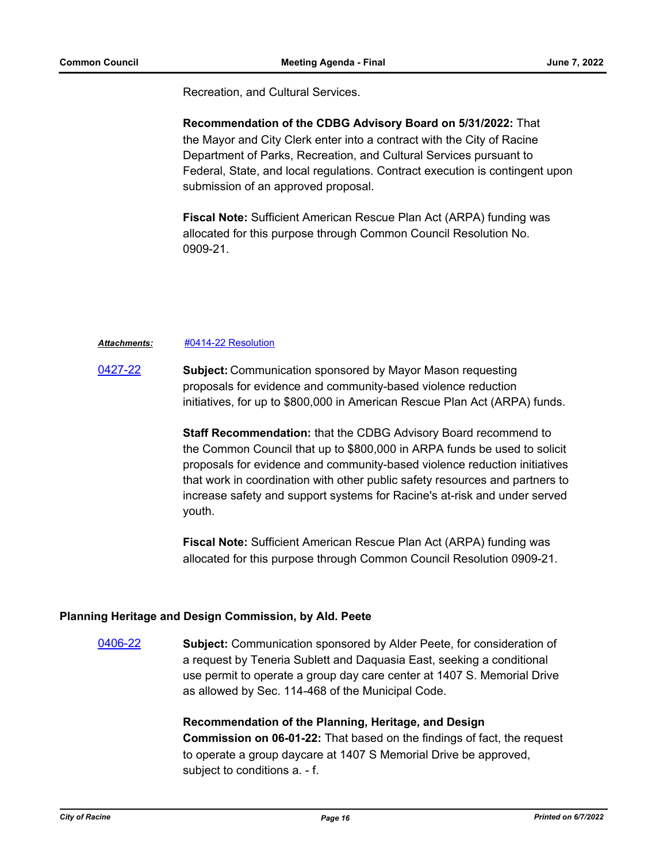Recreation, and Cultural Services.

**Recommendation of the CDBG Advisory Board on 5/31/2022:** That the Mayor and City Clerk enter into a contract with the City of Racine Department of Parks, Recreation, and Cultural Services pursuant to Federal, State, and local regulations. Contract execution is contingent upon submission of an approved proposal.

**Fiscal Note:** Sufficient American Rescue Plan Act (ARPA) funding was allocated for this purpose through Common Council Resolution No. 0909-21.

#### *Attachments:* [#0414-22 Resolution](http://cityofracine.legistar.com/gateway.aspx?M=F&ID=be86666f-360e-43e3-bcfc-af07207de733.docx)

[0427-22](http://cityofracine.legistar.com/gateway.aspx?m=l&id=/matter.aspx?key=33614) **Subject:** Communication sponsored by Mayor Mason requesting proposals for evidence and community-based violence reduction initiatives, for up to \$800,000 in American Rescue Plan Act (ARPA) funds.

> **Staff Recommendation:** that the CDBG Advisory Board recommend to the Common Council that up to \$800,000 in ARPA funds be used to solicit proposals for evidence and community-based violence reduction initiatives that work in coordination with other public safety resources and partners to increase safety and support systems for Racine's at-risk and under served youth.

**Fiscal Note:** Sufficient American Rescue Plan Act (ARPA) funding was allocated for this purpose through Common Council Resolution 0909-21.

#### **Planning Heritage and Design Commission, by Ald. Peete**

[0406-22](http://cityofracine.legistar.com/gateway.aspx?m=l&id=/matter.aspx?key=33591) **Subject:** Communication sponsored by Alder Peete, for consideration of a request by Teneria Sublett and Daquasia East, seeking a conditional use permit to operate a group day care center at 1407 S. Memorial Drive as allowed by Sec. 114-468 of the Municipal Code.

> **Recommendation of the Planning, Heritage, and Design Commission on 06-01-22:** That based on the findings of fact, the request to operate a group daycare at 1407 S Memorial Drive be approved, subject to conditions a. - f.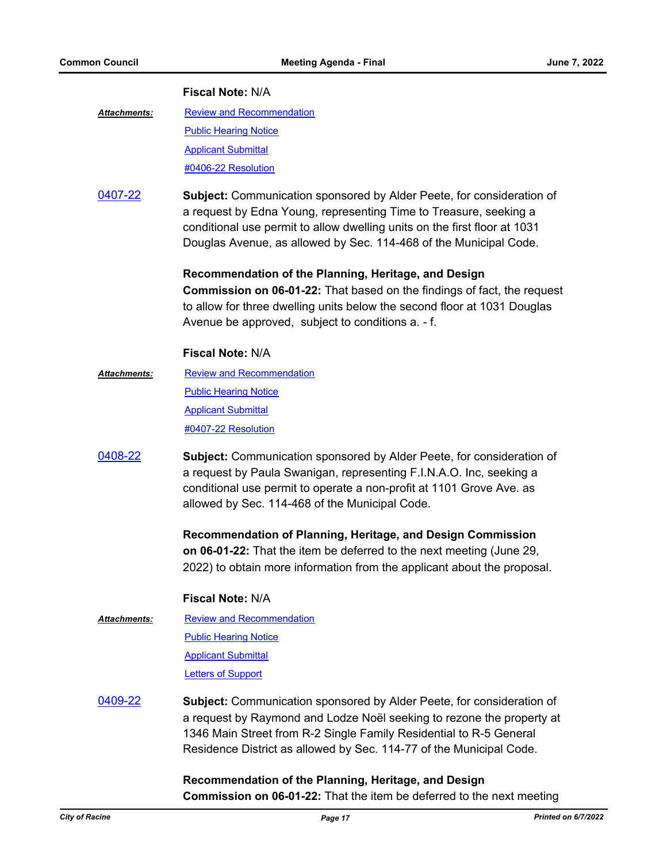#### **Fiscal Note:** N/A

- [Review and Recommendation](http://cityofracine.legistar.com/gateway.aspx?M=F&ID=039daf7f-8721-4a36-81d0-fc93a8cac151.pdf) **[Public Hearing Notice](http://cityofracine.legistar.com/gateway.aspx?M=F&ID=19501978-3329-48db-886e-6272f43d6731.pdf)** [Applicant Submittal](http://cityofracine.legistar.com/gateway.aspx?M=F&ID=2bd871d0-26a2-4ea6-a794-a8a5185609e1.pdf) [#0406-22 Resolution](http://cityofracine.legistar.com/gateway.aspx?M=F&ID=a6058770-7988-4bc8-a1d1-f18561d64d4c.docx) *Attachments:*
- [0407-22](http://cityofracine.legistar.com/gateway.aspx?m=l&id=/matter.aspx?key=33592) **Subject:** Communication sponsored by Alder Peete, for consideration of a request by Edna Young, representing Time to Treasure, seeking a conditional use permit to allow dwelling units on the first floor at 1031 Douglas Avenue, as allowed by Sec. 114-468 of the Municipal Code.

#### **Recommendation of the Planning, Heritage, and Design**

**Commission on 06-01-22:** That based on the findings of fact, the request to allow for three dwelling units below the second floor at 1031 Douglas Avenue be approved, subject to conditions a. - f.

#### **Fiscal Note:** N/A

- [Review and Recommendation](http://cityofracine.legistar.com/gateway.aspx?M=F&ID=fabb7ebe-31e8-4fb5-bf09-5afd54fc53db.pdf) [Public Hearing Notice](http://cityofracine.legistar.com/gateway.aspx?M=F&ID=d7df7f1e-c455-49b9-a8cf-bee4a3de12b6.pdf) [Applicant Submittal](http://cityofracine.legistar.com/gateway.aspx?M=F&ID=02d1b456-37a3-48e2-b59e-5c2a67253909.pdf) [#0407-22 Resolution](http://cityofracine.legistar.com/gateway.aspx?M=F&ID=3e7595cb-d5d1-4729-bd4b-2164fcd8ca70.docx) *Attachments:*
- [0408-22](http://cityofracine.legistar.com/gateway.aspx?m=l&id=/matter.aspx?key=33593) **Subject:** Communication sponsored by Alder Peete, for consideration of a request by Paula Swanigan, representing F.I.N.A.O. Inc, seeking a conditional use permit to operate a non-profit at 1101 Grove Ave. as allowed by Sec. 114-468 of the Municipal Code.

**Recommendation of Planning, Heritage, and Design Commission on 06-01-22:** That the item be deferred to the next meeting (June 29, 2022) to obtain more information from the applicant about the proposal.

#### **Fiscal Note:** N/A

- [Review and Recommendation](http://cityofracine.legistar.com/gateway.aspx?M=F&ID=391925b0-99e7-463f-8a11-89c3390ae209.pdf) **[Public Hearing Notice](http://cityofracine.legistar.com/gateway.aspx?M=F&ID=6712699d-b9bc-4014-b294-8970073d610a.pdf)** [Applicant Submittal](http://cityofracine.legistar.com/gateway.aspx?M=F&ID=5176de0e-00e0-4cfc-9121-918fc44b4b1b.pdf) [Letters of Support](http://cityofracine.legistar.com/gateway.aspx?M=F&ID=de403eac-6703-4fee-a363-6fd469fde2f8.pdf) *Attachments:*
- [0409-22](http://cityofracine.legistar.com/gateway.aspx?m=l&id=/matter.aspx?key=33594) **Subject:** Communication sponsored by Alder Peete, for consideration of a request by Raymond and Lodze Noël seeking to rezone the property at 1346 Main Street from R-2 Single Family Residential to R-5 General Residence District as allowed by Sec. 114-77 of the Municipal Code.

**Recommendation of the Planning, Heritage, and Design Commission on 06-01-22:** That the item be deferred to the next meeting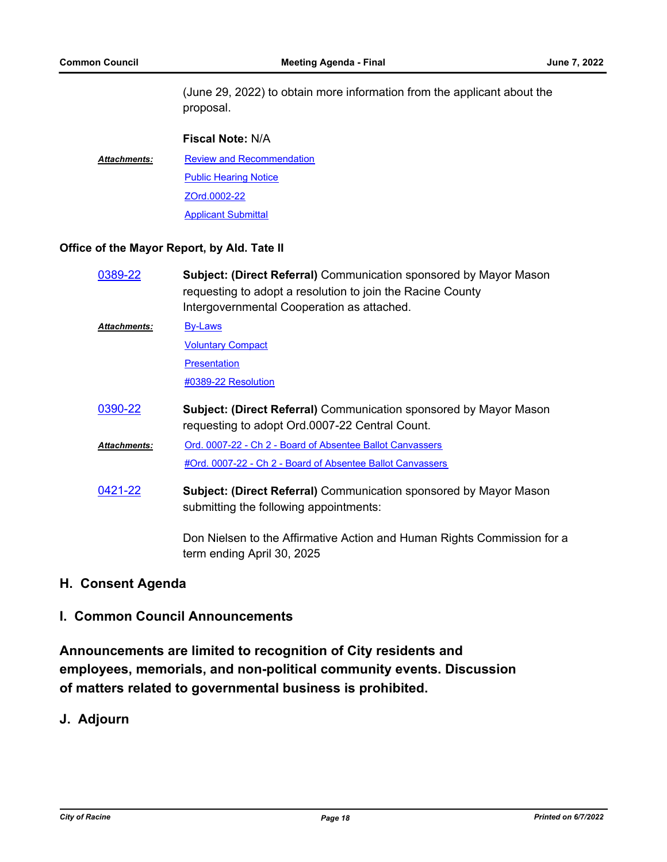(June 29, 2022) to obtain more information from the applicant about the proposal.

# **Fiscal Note:** N/A [Review and Recommendation](http://cityofracine.legistar.com/gateway.aspx?M=F&ID=d7473da8-9228-43e0-935f-37f13a09728a.pdf) **[Public Hearing Notice](http://cityofracine.legistar.com/gateway.aspx?M=F&ID=37b6e11d-6cb2-467b-85c6-a147f4422524.pdf)** [ZOrd.0002-22](http://cityofracine.legistar.com/gateway.aspx?M=F&ID=f80d0b4c-083f-45c9-add6-c3d92ff62bac.pdf) [Applicant Submittal](http://cityofracine.legistar.com/gateway.aspx?M=F&ID=5c9bd687-fdab-4f2b-9b85-2ae7733470eb.pdf) *Attachments:*

### **Office of the Mayor Report, by Ald. Tate II**

| 0389-22              | <b>Subject: (Direct Referral)</b> Communication sponsored by Mayor Mason<br>requesting to adopt a resolution to join the Racine County<br>Intergovernmental Cooperation as attached. |
|----------------------|--------------------------------------------------------------------------------------------------------------------------------------------------------------------------------------|
| Attachments:         | By-Laws                                                                                                                                                                              |
|                      | <b>Voluntary Compact</b>                                                                                                                                                             |
|                      | <b>Presentation</b>                                                                                                                                                                  |
|                      | #0389-22 Resolution                                                                                                                                                                  |
| 0390-22              | <b>Subject: (Direct Referral)</b> Communication sponsored by Mayor Mason<br>requesting to adopt Ord.0007-22 Central Count.                                                           |
|                      |                                                                                                                                                                                      |
| <u> Attachments:</u> | Ord. 0007-22 - Ch 2 - Board of Absentee Ballot Canvassers                                                                                                                            |
|                      | #Ord. 0007-22 - Ch 2 - Board of Absentee Ballot Canvassers                                                                                                                           |

Don Nielsen to the Affirmative Action and Human Rights Commission for a term ending April 30, 2025

# **H. Consent Agenda**

## **I. Common Council Announcements**

**Announcements are limited to recognition of City residents and employees, memorials, and non-political community events. Discussion of matters related to governmental business is prohibited.**

# **J. Adjourn**